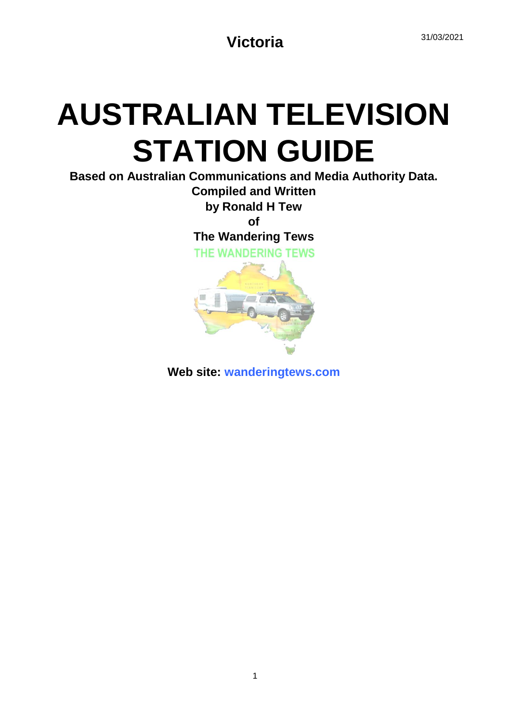# **AUSTRALIAN TELEVISION STATION GUIDE**

**Based on Australian Communications and Media Authority Data. Compiled and Written**

**by Ronald H Tew**

**of**

**The Wandering Tews**

THE WANDERING TEWS



**Web site: wanderingtews.com**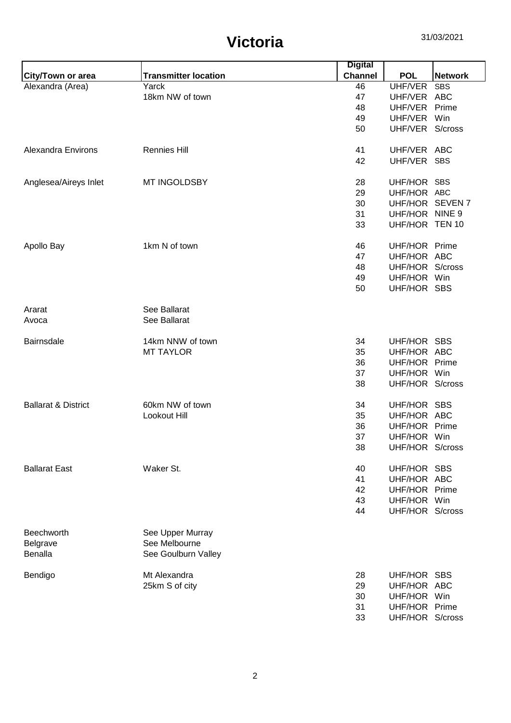|                                   |                                                          | <b>Digital</b> |               |                 |
|-----------------------------------|----------------------------------------------------------|----------------|---------------|-----------------|
| City/Town or area                 | <b>Transmitter location</b>                              | <b>Channel</b> | <b>POL</b>    | <b>Network</b>  |
| Alexandra (Area)                  | Yarck                                                    | 46             | UHF/VER       | <b>SBS</b>      |
|                                   | 18km NW of town                                          | 47             | UHF/VER ABC   |                 |
|                                   |                                                          | 48             | UHF/VER Prime |                 |
|                                   |                                                          | 49             | UHF/VER Win   |                 |
|                                   |                                                          | 50             |               | UHF/VER S/cross |
| Alexandra Environs                | <b>Rennies Hill</b>                                      | 41             | UHF/VER ABC   |                 |
|                                   |                                                          | 42             | UHF/VER SBS   |                 |
| Anglesea/Aireys Inlet             | MT INGOLDSBY                                             | 28             | UHF/HOR SBS   |                 |
|                                   |                                                          | 29             | UHF/HOR ABC   |                 |
|                                   |                                                          | 30             |               | UHF/HOR SEVEN 7 |
|                                   |                                                          | 31             |               | UHF/HOR NINE 9  |
|                                   |                                                          | 33             |               | UHF/HOR TEN 10  |
| Apollo Bay                        | 1km N of town                                            | 46             | UHF/HOR Prime |                 |
|                                   |                                                          | 47             | UHF/HOR ABC   |                 |
|                                   |                                                          | 48             |               | UHF/HOR S/cross |
|                                   |                                                          | 49             | UHF/HOR Win   |                 |
|                                   |                                                          | 50             | UHF/HOR SBS   |                 |
| Ararat                            | See Ballarat                                             |                |               |                 |
| Avoca                             | See Ballarat                                             |                |               |                 |
| <b>Bairnsdale</b>                 | 14km NNW of town                                         | 34             | UHF/HOR SBS   |                 |
|                                   | <b>MT TAYLOR</b>                                         | 35             | UHF/HOR ABC   |                 |
|                                   |                                                          | 36             | UHF/HOR Prime |                 |
|                                   |                                                          | 37             | UHF/HOR Win   |                 |
|                                   |                                                          | 38             |               | UHF/HOR S/cross |
| <b>Ballarat &amp; District</b>    | 60km NW of town                                          | 34             | UHF/HOR SBS   |                 |
|                                   | Lookout Hill                                             | 35             | UHF/HOR ABC   |                 |
|                                   |                                                          | 36             | UHF/HOR Prime |                 |
|                                   |                                                          | 37             | UHF/HOR Win   |                 |
|                                   |                                                          | 38             |               | UHF/HOR S/cross |
| <b>Ballarat East</b>              | Waker St.                                                | 40             | UHF/HOR SBS   |                 |
|                                   |                                                          | 41             | UHF/HOR ABC   |                 |
|                                   |                                                          | 42             | UHF/HOR Prime |                 |
|                                   |                                                          | 43             | UHF/HOR Win   |                 |
|                                   |                                                          | 44             |               | UHF/HOR S/cross |
| Beechworth<br>Belgrave<br>Benalla | See Upper Murray<br>See Melbourne<br>See Goulburn Valley |                |               |                 |
| Bendigo                           | Mt Alexandra                                             | 28             | UHF/HOR SBS   |                 |
|                                   | 25km S of city                                           | 29             | UHF/HOR ABC   |                 |
|                                   |                                                          | 30             | UHF/HOR Win   |                 |
|                                   |                                                          | 31             | UHF/HOR Prime |                 |
|                                   |                                                          | 33             |               | UHF/HOR S/cross |
|                                   |                                                          |                |               |                 |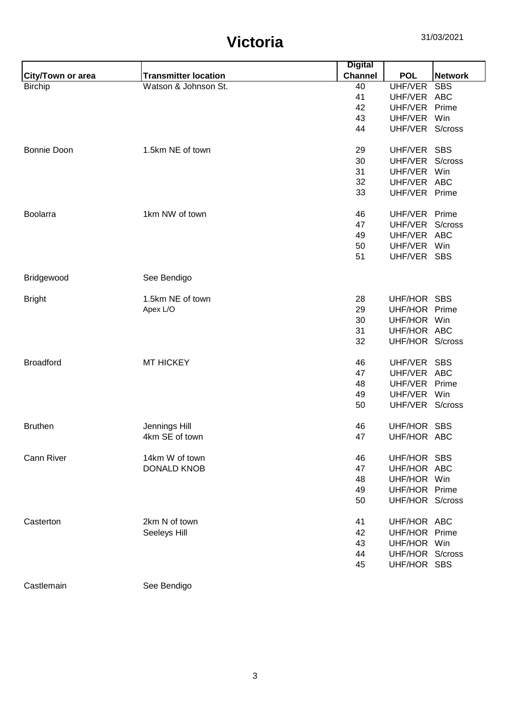|                    |                             | <b>Digital</b> |                 |                |
|--------------------|-----------------------------|----------------|-----------------|----------------|
| City/Town or area  | <b>Transmitter location</b> | <b>Channel</b> | <b>POL</b>      | <b>Network</b> |
| <b>Birchip</b>     | Watson & Johnson St.        | 40             | UHF/VER         | <b>SBS</b>     |
|                    |                             | 41             | UHF/VER         | <b>ABC</b>     |
|                    |                             | 42             | UHF/VER         | Prime          |
|                    |                             | 43             | UHF/VER         | Win            |
|                    |                             | 44             | UHF/VER S/cross |                |
| <b>Bonnie Doon</b> | 1.5km NE of town            | 29             | UHF/VER SBS     |                |
|                    |                             | 30             | UHF/VER         | S/cross        |
|                    |                             | 31             | UHF/VER         | Win            |
|                    |                             | 32             | UHF/VER ABC     |                |
|                    |                             | 33             | UHF/VER         | Prime          |
| <b>Boolarra</b>    | 1km NW of town              | 46             | UHF/VER Prime   |                |
|                    |                             | 47             | UHF/VER         | S/cross        |
|                    |                             | 49             | UHF/VER         | <b>ABC</b>     |
|                    |                             | 50             | UHF/VER         | Win            |
|                    |                             | 51             | UHF/VER SBS     |                |
| Bridgewood         | See Bendigo                 |                |                 |                |
| <b>Bright</b>      | 1.5km NE of town            | 28             | UHF/HOR         | <b>SBS</b>     |
|                    | Apex L/O                    | 29             | UHF/HOR Prime   |                |
|                    |                             | 30             | UHF/HOR Win     |                |
|                    |                             | 31             | UHF/HOR ABC     |                |
|                    |                             | 32             | UHF/HOR S/cross |                |
| <b>Broadford</b>   | <b>MT HICKEY</b>            | 46             | UHF/VER         | <b>SBS</b>     |
|                    |                             | 47             | UHF/VER         | <b>ABC</b>     |
|                    |                             | 48             | UHF/VER         | Prime          |
|                    |                             | 49             | UHF/VER         | Win            |
|                    |                             | 50             | UHF/VER S/cross |                |
|                    |                             |                |                 |                |
| <b>Bruthen</b>     | Jennings Hill               | 46             | UHF/HOR SBS     |                |
|                    | 4km SE of town              | 47             | UHF/HOR ABC     |                |
| <b>Cann River</b>  | 14km W of town              | 46             | UHF/HOR SBS     |                |
|                    | <b>DONALD KNOB</b>          | 47             | UHF/HOR ABC     |                |
|                    |                             | 48             | UHF/HOR Win     |                |
|                    |                             | 49             | UHF/HOR Prime   |                |
|                    |                             | 50             | UHF/HOR S/cross |                |
| Casterton          | 2km N of town               | 41             | UHF/HOR ABC     |                |
|                    | Seeleys Hill                | 42             | UHF/HOR Prime   |                |
|                    |                             | 43             | UHF/HOR Win     |                |
|                    |                             | 44             | UHF/HOR S/cross |                |
|                    |                             | 45             | UHF/HOR SBS     |                |
| Castlemain         | See Bendigo                 |                |                 |                |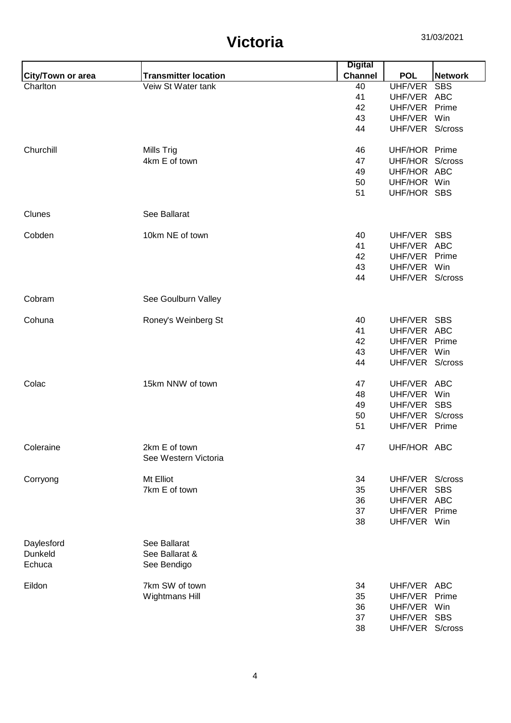|                          |                                       | <b>Digital</b> |                 |                |
|--------------------------|---------------------------------------|----------------|-----------------|----------------|
| <b>City/Town or area</b> | <b>Transmitter location</b>           | <b>Channel</b> | <b>POL</b>      | <b>Network</b> |
| Charlton                 | Veiw St Water tank                    | 40             | UHF/VER         | <b>SBS</b>     |
|                          |                                       | 41             | UHF/VER ABC     |                |
|                          |                                       | 42             | UHF/VER Prime   |                |
|                          |                                       | 43             | UHF/VER Win     |                |
|                          |                                       | 44             | UHF/VER S/cross |                |
| Churchill                | Mills Trig                            | 46             | UHF/HOR Prime   |                |
|                          | 4km E of town                         | 47             | UHF/HOR S/cross |                |
|                          |                                       | 49             | UHF/HOR ABC     |                |
|                          |                                       | 50             | UHF/HOR Win     |                |
|                          |                                       | 51             | UHF/HOR SBS     |                |
| Clunes                   | See Ballarat                          |                |                 |                |
| Cobden                   | 10km NE of town                       | 40             | UHF/VER SBS     |                |
|                          |                                       | 41             | UHF/VER ABC     |                |
|                          |                                       | 42             | UHF/VER Prime   |                |
|                          |                                       | 43             | UHF/VER Win     |                |
|                          |                                       | 44             | UHF/VER S/cross |                |
| Cobram                   | See Goulburn Valley                   |                |                 |                |
| Cohuna                   | Roney's Weinberg St                   | 40             | UHF/VER SBS     |                |
|                          |                                       | 41             | UHF/VER ABC     |                |
|                          |                                       | 42             | UHF/VER         | Prime          |
|                          |                                       | 43             | UHF/VER         | Win            |
|                          |                                       | 44             | UHF/VER S/cross |                |
| Colac                    | 15km NNW of town                      | 47             | UHF/VER ABC     |                |
|                          |                                       | 48             | UHF/VER         | Win            |
|                          |                                       | 49             | UHF/VER SBS     |                |
|                          |                                       | 50             | UHF/VER S/cross |                |
|                          |                                       | 51             | UHF/VER Prime   |                |
| Coleraine                | 2km E of town<br>See Western Victoria | 47             | UHF/HOR ABC     |                |
| Corryong                 | Mt Elliot                             | 34             | UHF/VER S/cross |                |
|                          | 7km E of town                         | 35             | UHF/VER         | <b>SBS</b>     |
|                          |                                       | 36             | UHF/VER ABC     |                |
|                          |                                       | 37             | UHF/VER Prime   |                |
|                          |                                       | 38             | UHF/VER Win     |                |
| Daylesford               | See Ballarat                          |                |                 |                |
| Dunkeld                  | See Ballarat &                        |                |                 |                |
| Echuca                   | See Bendigo                           |                |                 |                |
| Eildon                   | 7km SW of town                        | 34             | UHF/VER ABC     |                |
|                          | Wightmans Hill                        | 35             | UHF/VER Prime   |                |
|                          |                                       | 36             | UHF/VER Win     |                |
|                          |                                       | 37             | UHF/VER SBS     |                |
|                          |                                       | 38             | UHF/VER S/cross |                |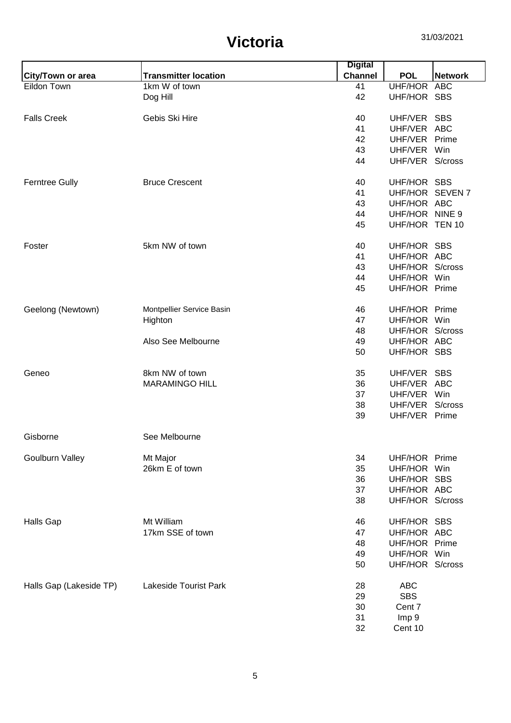| <b>Channel</b><br><b>Transmitter location</b><br><b>POL</b><br><b>Network</b><br>City/Town or area<br>Eildon Town<br>UHF/HOR ABC<br>1km W of town<br>41<br>42<br>UHF/HOR SBS<br>Dog Hill<br><b>Falls Creek</b><br>Gebis Ski Hire<br>UHF/VER SBS<br>40<br>41<br>UHF/VER ABC<br>UHF/VER Prime<br>42<br>43<br>UHF/VER Win<br>UHF/VER S/cross<br>44<br><b>Ferntree Gully</b><br><b>Bruce Crescent</b><br>40<br>UHF/HOR SBS<br>41<br>UHF/HOR SEVEN 7<br>43<br>UHF/HOR ABC<br>UHF/HOR NINE 9<br>44<br>UHF/HOR TEN 10<br>45<br>5km NW of town<br>UHF/HOR SBS<br>Foster<br>40<br>UHF/HOR ABC<br>41<br>UHF/HOR<br>S/cross<br>43<br>UHF/HOR Win<br>44<br>UHF/HOR Prime<br>45<br>UHF/HOR Prime<br>Geelong (Newtown)<br>46<br>Montpellier Service Basin<br>UHF/HOR Win<br>Highton<br>47<br>UHF/HOR S/cross<br>48<br>Also See Melbourne<br>UHF/HOR ABC<br>49<br>UHF/HOR SBS<br>50<br>8km NW of town<br>Geneo<br>35<br>UHF/VER SBS<br><b>MARAMINGO HILL</b><br>36<br>UHF/VER ABC<br>UHF/VER Win<br>37<br>UHF/VER S/cross<br>38<br>39<br>UHF/VER Prime<br>See Melbourne<br>Gisborne<br><b>Goulburn Valley</b><br>Mt Major<br>34<br>UHF/HOR Prime<br>26km E of town<br>UHF/HOR Win<br>35<br>UHF/HOR SBS<br>36<br>UHF/HOR ABC<br>37<br>38<br>UHF/HOR S/cross<br>Mt William<br>UHF/HOR SBS<br><b>Halls Gap</b><br>46<br>17km SSE of town<br>UHF/HOR ABC<br>47<br>UHF/HOR Prime<br>48<br>UHF/HOR Win<br>49<br>UHF/HOR S/cross<br>50<br>Lakeside Tourist Park<br><b>ABC</b><br>Halls Gap (Lakeside TP)<br>28<br><b>SBS</b><br>29<br>30<br>Cent 7<br>31<br>Imp 9 |  | <b>Digital</b> |         |  |
|---------------------------------------------------------------------------------------------------------------------------------------------------------------------------------------------------------------------------------------------------------------------------------------------------------------------------------------------------------------------------------------------------------------------------------------------------------------------------------------------------------------------------------------------------------------------------------------------------------------------------------------------------------------------------------------------------------------------------------------------------------------------------------------------------------------------------------------------------------------------------------------------------------------------------------------------------------------------------------------------------------------------------------------------------------------------------------------------------------------------------------------------------------------------------------------------------------------------------------------------------------------------------------------------------------------------------------------------------------------------------------------------------------------------------------------------------------------------------------------------------------------------------------------------|--|----------------|---------|--|
|                                                                                                                                                                                                                                                                                                                                                                                                                                                                                                                                                                                                                                                                                                                                                                                                                                                                                                                                                                                                                                                                                                                                                                                                                                                                                                                                                                                                                                                                                                                                             |  |                |         |  |
|                                                                                                                                                                                                                                                                                                                                                                                                                                                                                                                                                                                                                                                                                                                                                                                                                                                                                                                                                                                                                                                                                                                                                                                                                                                                                                                                                                                                                                                                                                                                             |  |                |         |  |
|                                                                                                                                                                                                                                                                                                                                                                                                                                                                                                                                                                                                                                                                                                                                                                                                                                                                                                                                                                                                                                                                                                                                                                                                                                                                                                                                                                                                                                                                                                                                             |  |                |         |  |
|                                                                                                                                                                                                                                                                                                                                                                                                                                                                                                                                                                                                                                                                                                                                                                                                                                                                                                                                                                                                                                                                                                                                                                                                                                                                                                                                                                                                                                                                                                                                             |  |                |         |  |
|                                                                                                                                                                                                                                                                                                                                                                                                                                                                                                                                                                                                                                                                                                                                                                                                                                                                                                                                                                                                                                                                                                                                                                                                                                                                                                                                                                                                                                                                                                                                             |  |                |         |  |
|                                                                                                                                                                                                                                                                                                                                                                                                                                                                                                                                                                                                                                                                                                                                                                                                                                                                                                                                                                                                                                                                                                                                                                                                                                                                                                                                                                                                                                                                                                                                             |  |                |         |  |
|                                                                                                                                                                                                                                                                                                                                                                                                                                                                                                                                                                                                                                                                                                                                                                                                                                                                                                                                                                                                                                                                                                                                                                                                                                                                                                                                                                                                                                                                                                                                             |  |                |         |  |
|                                                                                                                                                                                                                                                                                                                                                                                                                                                                                                                                                                                                                                                                                                                                                                                                                                                                                                                                                                                                                                                                                                                                                                                                                                                                                                                                                                                                                                                                                                                                             |  |                |         |  |
|                                                                                                                                                                                                                                                                                                                                                                                                                                                                                                                                                                                                                                                                                                                                                                                                                                                                                                                                                                                                                                                                                                                                                                                                                                                                                                                                                                                                                                                                                                                                             |  |                |         |  |
|                                                                                                                                                                                                                                                                                                                                                                                                                                                                                                                                                                                                                                                                                                                                                                                                                                                                                                                                                                                                                                                                                                                                                                                                                                                                                                                                                                                                                                                                                                                                             |  |                |         |  |
|                                                                                                                                                                                                                                                                                                                                                                                                                                                                                                                                                                                                                                                                                                                                                                                                                                                                                                                                                                                                                                                                                                                                                                                                                                                                                                                                                                                                                                                                                                                                             |  |                |         |  |
|                                                                                                                                                                                                                                                                                                                                                                                                                                                                                                                                                                                                                                                                                                                                                                                                                                                                                                                                                                                                                                                                                                                                                                                                                                                                                                                                                                                                                                                                                                                                             |  |                |         |  |
|                                                                                                                                                                                                                                                                                                                                                                                                                                                                                                                                                                                                                                                                                                                                                                                                                                                                                                                                                                                                                                                                                                                                                                                                                                                                                                                                                                                                                                                                                                                                             |  |                |         |  |
|                                                                                                                                                                                                                                                                                                                                                                                                                                                                                                                                                                                                                                                                                                                                                                                                                                                                                                                                                                                                                                                                                                                                                                                                                                                                                                                                                                                                                                                                                                                                             |  |                |         |  |
|                                                                                                                                                                                                                                                                                                                                                                                                                                                                                                                                                                                                                                                                                                                                                                                                                                                                                                                                                                                                                                                                                                                                                                                                                                                                                                                                                                                                                                                                                                                                             |  |                |         |  |
|                                                                                                                                                                                                                                                                                                                                                                                                                                                                                                                                                                                                                                                                                                                                                                                                                                                                                                                                                                                                                                                                                                                                                                                                                                                                                                                                                                                                                                                                                                                                             |  |                |         |  |
|                                                                                                                                                                                                                                                                                                                                                                                                                                                                                                                                                                                                                                                                                                                                                                                                                                                                                                                                                                                                                                                                                                                                                                                                                                                                                                                                                                                                                                                                                                                                             |  |                |         |  |
|                                                                                                                                                                                                                                                                                                                                                                                                                                                                                                                                                                                                                                                                                                                                                                                                                                                                                                                                                                                                                                                                                                                                                                                                                                                                                                                                                                                                                                                                                                                                             |  |                |         |  |
|                                                                                                                                                                                                                                                                                                                                                                                                                                                                                                                                                                                                                                                                                                                                                                                                                                                                                                                                                                                                                                                                                                                                                                                                                                                                                                                                                                                                                                                                                                                                             |  |                |         |  |
|                                                                                                                                                                                                                                                                                                                                                                                                                                                                                                                                                                                                                                                                                                                                                                                                                                                                                                                                                                                                                                                                                                                                                                                                                                                                                                                                                                                                                                                                                                                                             |  |                |         |  |
|                                                                                                                                                                                                                                                                                                                                                                                                                                                                                                                                                                                                                                                                                                                                                                                                                                                                                                                                                                                                                                                                                                                                                                                                                                                                                                                                                                                                                                                                                                                                             |  |                |         |  |
|                                                                                                                                                                                                                                                                                                                                                                                                                                                                                                                                                                                                                                                                                                                                                                                                                                                                                                                                                                                                                                                                                                                                                                                                                                                                                                                                                                                                                                                                                                                                             |  |                |         |  |
|                                                                                                                                                                                                                                                                                                                                                                                                                                                                                                                                                                                                                                                                                                                                                                                                                                                                                                                                                                                                                                                                                                                                                                                                                                                                                                                                                                                                                                                                                                                                             |  |                |         |  |
|                                                                                                                                                                                                                                                                                                                                                                                                                                                                                                                                                                                                                                                                                                                                                                                                                                                                                                                                                                                                                                                                                                                                                                                                                                                                                                                                                                                                                                                                                                                                             |  |                |         |  |
|                                                                                                                                                                                                                                                                                                                                                                                                                                                                                                                                                                                                                                                                                                                                                                                                                                                                                                                                                                                                                                                                                                                                                                                                                                                                                                                                                                                                                                                                                                                                             |  |                |         |  |
|                                                                                                                                                                                                                                                                                                                                                                                                                                                                                                                                                                                                                                                                                                                                                                                                                                                                                                                                                                                                                                                                                                                                                                                                                                                                                                                                                                                                                                                                                                                                             |  |                |         |  |
|                                                                                                                                                                                                                                                                                                                                                                                                                                                                                                                                                                                                                                                                                                                                                                                                                                                                                                                                                                                                                                                                                                                                                                                                                                                                                                                                                                                                                                                                                                                                             |  |                |         |  |
|                                                                                                                                                                                                                                                                                                                                                                                                                                                                                                                                                                                                                                                                                                                                                                                                                                                                                                                                                                                                                                                                                                                                                                                                                                                                                                                                                                                                                                                                                                                                             |  |                |         |  |
|                                                                                                                                                                                                                                                                                                                                                                                                                                                                                                                                                                                                                                                                                                                                                                                                                                                                                                                                                                                                                                                                                                                                                                                                                                                                                                                                                                                                                                                                                                                                             |  |                |         |  |
|                                                                                                                                                                                                                                                                                                                                                                                                                                                                                                                                                                                                                                                                                                                                                                                                                                                                                                                                                                                                                                                                                                                                                                                                                                                                                                                                                                                                                                                                                                                                             |  |                |         |  |
|                                                                                                                                                                                                                                                                                                                                                                                                                                                                                                                                                                                                                                                                                                                                                                                                                                                                                                                                                                                                                                                                                                                                                                                                                                                                                                                                                                                                                                                                                                                                             |  |                |         |  |
|                                                                                                                                                                                                                                                                                                                                                                                                                                                                                                                                                                                                                                                                                                                                                                                                                                                                                                                                                                                                                                                                                                                                                                                                                                                                                                                                                                                                                                                                                                                                             |  |                |         |  |
|                                                                                                                                                                                                                                                                                                                                                                                                                                                                                                                                                                                                                                                                                                                                                                                                                                                                                                                                                                                                                                                                                                                                                                                                                                                                                                                                                                                                                                                                                                                                             |  |                |         |  |
|                                                                                                                                                                                                                                                                                                                                                                                                                                                                                                                                                                                                                                                                                                                                                                                                                                                                                                                                                                                                                                                                                                                                                                                                                                                                                                                                                                                                                                                                                                                                             |  |                |         |  |
|                                                                                                                                                                                                                                                                                                                                                                                                                                                                                                                                                                                                                                                                                                                                                                                                                                                                                                                                                                                                                                                                                                                                                                                                                                                                                                                                                                                                                                                                                                                                             |  |                |         |  |
|                                                                                                                                                                                                                                                                                                                                                                                                                                                                                                                                                                                                                                                                                                                                                                                                                                                                                                                                                                                                                                                                                                                                                                                                                                                                                                                                                                                                                                                                                                                                             |  |                |         |  |
|                                                                                                                                                                                                                                                                                                                                                                                                                                                                                                                                                                                                                                                                                                                                                                                                                                                                                                                                                                                                                                                                                                                                                                                                                                                                                                                                                                                                                                                                                                                                             |  |                |         |  |
|                                                                                                                                                                                                                                                                                                                                                                                                                                                                                                                                                                                                                                                                                                                                                                                                                                                                                                                                                                                                                                                                                                                                                                                                                                                                                                                                                                                                                                                                                                                                             |  |                |         |  |
|                                                                                                                                                                                                                                                                                                                                                                                                                                                                                                                                                                                                                                                                                                                                                                                                                                                                                                                                                                                                                                                                                                                                                                                                                                                                                                                                                                                                                                                                                                                                             |  |                |         |  |
|                                                                                                                                                                                                                                                                                                                                                                                                                                                                                                                                                                                                                                                                                                                                                                                                                                                                                                                                                                                                                                                                                                                                                                                                                                                                                                                                                                                                                                                                                                                                             |  |                |         |  |
|                                                                                                                                                                                                                                                                                                                                                                                                                                                                                                                                                                                                                                                                                                                                                                                                                                                                                                                                                                                                                                                                                                                                                                                                                                                                                                                                                                                                                                                                                                                                             |  |                |         |  |
|                                                                                                                                                                                                                                                                                                                                                                                                                                                                                                                                                                                                                                                                                                                                                                                                                                                                                                                                                                                                                                                                                                                                                                                                                                                                                                                                                                                                                                                                                                                                             |  |                |         |  |
|                                                                                                                                                                                                                                                                                                                                                                                                                                                                                                                                                                                                                                                                                                                                                                                                                                                                                                                                                                                                                                                                                                                                                                                                                                                                                                                                                                                                                                                                                                                                             |  |                |         |  |
|                                                                                                                                                                                                                                                                                                                                                                                                                                                                                                                                                                                                                                                                                                                                                                                                                                                                                                                                                                                                                                                                                                                                                                                                                                                                                                                                                                                                                                                                                                                                             |  |                |         |  |
|                                                                                                                                                                                                                                                                                                                                                                                                                                                                                                                                                                                                                                                                                                                                                                                                                                                                                                                                                                                                                                                                                                                                                                                                                                                                                                                                                                                                                                                                                                                                             |  |                |         |  |
|                                                                                                                                                                                                                                                                                                                                                                                                                                                                                                                                                                                                                                                                                                                                                                                                                                                                                                                                                                                                                                                                                                                                                                                                                                                                                                                                                                                                                                                                                                                                             |  |                |         |  |
|                                                                                                                                                                                                                                                                                                                                                                                                                                                                                                                                                                                                                                                                                                                                                                                                                                                                                                                                                                                                                                                                                                                                                                                                                                                                                                                                                                                                                                                                                                                                             |  |                |         |  |
|                                                                                                                                                                                                                                                                                                                                                                                                                                                                                                                                                                                                                                                                                                                                                                                                                                                                                                                                                                                                                                                                                                                                                                                                                                                                                                                                                                                                                                                                                                                                             |  |                |         |  |
|                                                                                                                                                                                                                                                                                                                                                                                                                                                                                                                                                                                                                                                                                                                                                                                                                                                                                                                                                                                                                                                                                                                                                                                                                                                                                                                                                                                                                                                                                                                                             |  | 32             | Cent 10 |  |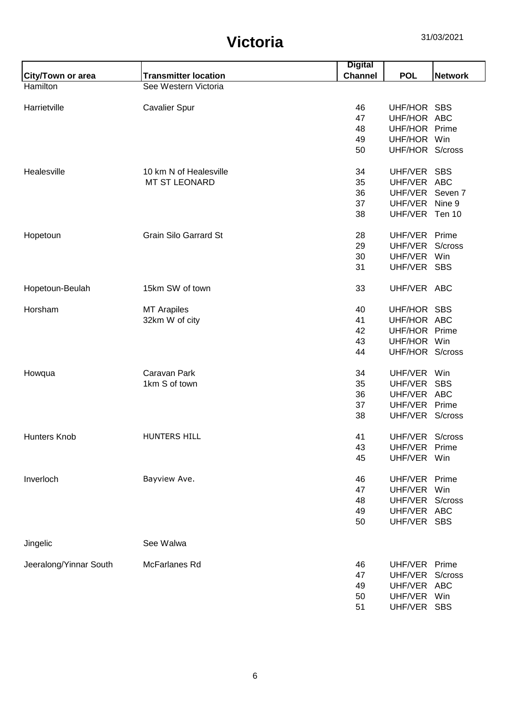|                          |                              | <b>Digital</b> |                 |                    |
|--------------------------|------------------------------|----------------|-----------------|--------------------|
| <b>City/Town or area</b> | <b>Transmitter location</b>  | <b>Channel</b> | <b>POL</b>      | <b>Network</b>     |
| Hamilton                 | See Western Victoria         |                |                 |                    |
|                          |                              |                |                 |                    |
| Harrietville             | <b>Cavalier Spur</b>         | 46             | UHF/HOR SBS     |                    |
|                          |                              | 47             | UHF/HOR ABC     |                    |
|                          |                              | 48             | UHF/HOR Prime   |                    |
|                          |                              | 49             | UHF/HOR Win     |                    |
|                          |                              | 50             | UHF/HOR S/cross |                    |
| Healesville              | 10 km N of Healesville       | 34             | UHF/VER SBS     |                    |
|                          | <b>MT ST LEONARD</b>         | 35             | UHF/VER         | ABC                |
|                          |                              | 36             | UHF/VER         | Seven <sub>7</sub> |
|                          |                              | 37             | UHF/VER         | Nine 9             |
|                          |                              | 38             | UHF/VER         | Ten 10             |
|                          |                              |                |                 |                    |
| Hopetoun                 | <b>Grain Silo Garrard St</b> | 28             | UHF/VER Prime   |                    |
|                          |                              | 29             | UHF/VER         | S/cross            |
|                          |                              | 30             | UHF/VER         | Win                |
|                          |                              | 31             | UHF/VER         | <b>SBS</b>         |
|                          |                              |                |                 |                    |
| Hopetoun-Beulah          | 15km SW of town              | 33             | UHF/VER ABC     |                    |
| Horsham                  | <b>MT Arapiles</b>           | 40             | UHF/HOR SBS     |                    |
|                          | 32km W of city               | 41             | UHF/HOR ABC     |                    |
|                          |                              | 42             | UHF/HOR         | Prime              |
|                          |                              | 43             | UHF/HOR Win     |                    |
|                          |                              | 44             | UHF/HOR S/cross |                    |
|                          |                              |                |                 |                    |
| Howqua                   | Caravan Park                 | 34             | UHF/VER         | Win                |
|                          | 1km S of town                | 35             | UHF/VER         | <b>SBS</b>         |
|                          |                              | 36             | UHF/VER         | <b>ABC</b>         |
|                          |                              | 37             | UHF/VER         | Prime              |
|                          |                              | 38             | UHF/VER S/cross |                    |
| <b>Hunters Knob</b>      | <b>HUNTERS HILL</b>          | 41             | UHF/VER S/cross |                    |
|                          |                              | 43             | UHF/VER         | Prime              |
|                          |                              | 45             | UHF/VER Win     |                    |
|                          |                              |                |                 |                    |
| Inverloch                | Bayview Ave.                 | 46             | UHF/VER         | Prime              |
|                          |                              | 47             | UHF/VER         | Win                |
|                          |                              | 48             | UHF/VER         | S/cross            |
|                          |                              | 49             | UHF/VER         | <b>ABC</b>         |
|                          |                              | 50             | UHF/VER         | <b>SBS</b>         |
|                          |                              |                |                 |                    |
| Jingelic                 | See Walwa                    |                |                 |                    |
| Jeeralong/Yinnar South   | McFarlanes Rd                | 46             | UHF/VER         | Prime              |
|                          |                              | 47             | UHF/VER         | S/cross            |
|                          |                              | 49             | UHF/VER ABC     |                    |
|                          |                              | 50             | UHF/VER         | Win                |
|                          |                              | 51             | UHF/VER SBS     |                    |
|                          |                              |                |                 |                    |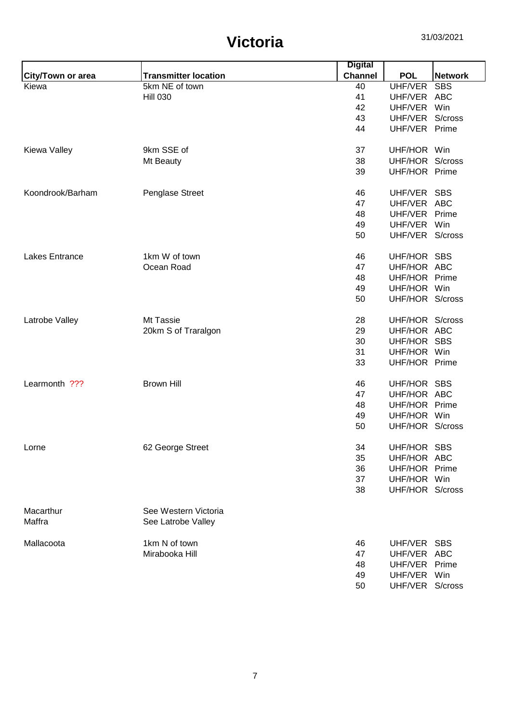|                   |                             | <b>Digital</b> |                 |                |
|-------------------|-----------------------------|----------------|-----------------|----------------|
| City/Town or area | <b>Transmitter location</b> | <b>Channel</b> | <b>POL</b>      | <b>Network</b> |
| Kiewa             | 5km NE of town              | 40             | UHF/VER         | <b>SBS</b>     |
|                   | <b>Hill 030</b>             | 41             | UHF/VER ABC     |                |
|                   |                             | 42             | UHF/VER Win     |                |
|                   |                             | 43             | UHF/VER         | S/cross        |
|                   |                             | 44             | UHF/VER Prime   |                |
| Kiewa Valley      | 9km SSE of                  | 37             | UHF/HOR Win     |                |
|                   | Mt Beauty                   | 38             | UHF/HOR S/cross |                |
|                   |                             | 39             | UHF/HOR Prime   |                |
| Koondrook/Barham  | Penglase Street             | 46             | UHF/VER SBS     |                |
|                   |                             | 47             | UHF/VER ABC     |                |
|                   |                             | 48             | UHF/VER         | Prime          |
|                   |                             | 49             | UHF/VER         | Win            |
|                   |                             | 50             | UHF/VER S/cross |                |
| Lakes Entrance    | 1km W of town               | 46             | UHF/HOR SBS     |                |
|                   | Ocean Road                  | 47             | UHF/HOR ABC     |                |
|                   |                             | 48             | UHF/HOR Prime   |                |
|                   |                             | 49             | UHF/HOR Win     |                |
|                   |                             | 50             | UHF/HOR S/cross |                |
| Latrobe Valley    | Mt Tassie                   | 28             | UHF/HOR S/cross |                |
|                   | 20km S of Traralgon         | 29             | UHF/HOR ABC     |                |
|                   |                             | 30             | UHF/HOR SBS     |                |
|                   |                             | 31             | UHF/HOR Win     |                |
|                   |                             | 33             | UHF/HOR Prime   |                |
| Learmonth ???     | <b>Brown Hill</b>           | 46             | UHF/HOR SBS     |                |
|                   |                             | 47             | UHF/HOR ABC     |                |
|                   |                             | 48             | UHF/HOR Prime   |                |
|                   |                             | 49             | UHF/HOR Win     |                |
|                   |                             | 50             | UHF/HOR S/cross |                |
| Lorne             | 62 George Street            | 34             | UHF/HOR SBS     |                |
|                   |                             | 35             | UHF/HOR ABC     |                |
|                   |                             | 36             | UHF/HOR Prime   |                |
|                   |                             | 37             | UHF/HOR Win     |                |
|                   |                             | 38             | UHF/HOR S/cross |                |
| Macarthur         | See Western Victoria        |                |                 |                |
| Maffra            | See Latrobe Valley          |                |                 |                |
| Mallacoota        | 1km N of town               | 46             | UHF/VER SBS     |                |
|                   | Mirabooka Hill              | 47             | UHF/VER ABC     |                |
|                   |                             | 48             | UHF/VER         | Prime          |
|                   |                             | 49             | UHF/VER Win     |                |
|                   |                             | 50             | UHF/VER S/cross |                |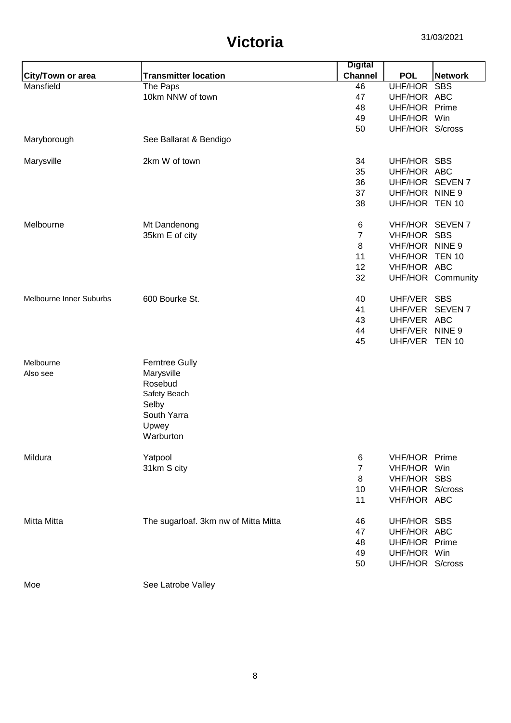|                          |                                      | <b>Digital</b> |                 |                   |
|--------------------------|--------------------------------------|----------------|-----------------|-------------------|
| <b>City/Town or area</b> | <b>Transmitter location</b>          | <b>Channel</b> | <b>POL</b>      | <b>Network</b>    |
| Mansfield                | The Paps                             | 46             | UHF/HOR SBS     |                   |
|                          | 10km NNW of town                     | 47             | UHF/HOR ABC     |                   |
|                          |                                      | 48             | UHF/HOR Prime   |                   |
|                          |                                      | 49             | UHF/HOR Win     |                   |
|                          |                                      | 50             | UHF/HOR S/cross |                   |
| Maryborough              | See Ballarat & Bendigo               |                |                 |                   |
| Marysville               | 2km W of town                        | 34             | UHF/HOR SBS     |                   |
|                          |                                      | 35             | UHF/HOR ABC     |                   |
|                          |                                      | 36             | UHF/HOR SEVEN 7 |                   |
|                          |                                      | 37             | UHF/HOR NINE 9  |                   |
|                          |                                      | 38             | UHF/HOR TEN 10  |                   |
| Melbourne                | Mt Dandenong                         | 6              | VHF/HOR SEVEN 7 |                   |
|                          | 35km E of city                       | $\overline{7}$ | VHF/HOR SBS     |                   |
|                          |                                      | 8              | VHF/HOR NINE 9  |                   |
|                          |                                      | 11             | VHF/HOR TEN 10  |                   |
|                          |                                      | 12             | VHF/HOR ABC     |                   |
|                          |                                      | 32             |                 | UHF/HOR Community |
| Melbourne Inner Suburbs  | 600 Bourke St.                       | 40             | UHF/VER SBS     |                   |
|                          |                                      | 41             | UHF/VER         | <b>SEVEN7</b>     |
|                          |                                      | 43             | UHF/VER ABC     |                   |
|                          |                                      | 44             | UHF/VER NINE 9  |                   |
|                          |                                      | 45             | UHF/VER TEN 10  |                   |
| Melbourne                | <b>Ferntree Gully</b>                |                |                 |                   |
| Also see                 | Marysville                           |                |                 |                   |
|                          | Rosebud                              |                |                 |                   |
|                          | Safety Beach                         |                |                 |                   |
|                          | Selby                                |                |                 |                   |
|                          | South Yarra                          |                |                 |                   |
|                          | Upwey                                |                |                 |                   |
|                          | Warburton                            |                |                 |                   |
| Mildura                  | Yatpool                              | 6              | VHF/HOR Prime   |                   |
|                          | 31km S city                          | $\overline{7}$ | VHF/HOR Win     |                   |
|                          |                                      | 8              | VHF/HOR SBS     |                   |
|                          |                                      | 10             | VHF/HOR S/cross |                   |
|                          |                                      | 11             | VHF/HOR ABC     |                   |
| Mitta Mitta              | The sugarloaf. 3km nw of Mitta Mitta | 46             | UHF/HOR SBS     |                   |
|                          |                                      | 47             | UHF/HOR ABC     |                   |
|                          |                                      | 48             | UHF/HOR Prime   |                   |
|                          |                                      | 49             | UHF/HOR Win     |                   |
|                          |                                      | 50             | UHF/HOR S/cross |                   |
| Moe                      | See Latrobe Valley                   |                |                 |                   |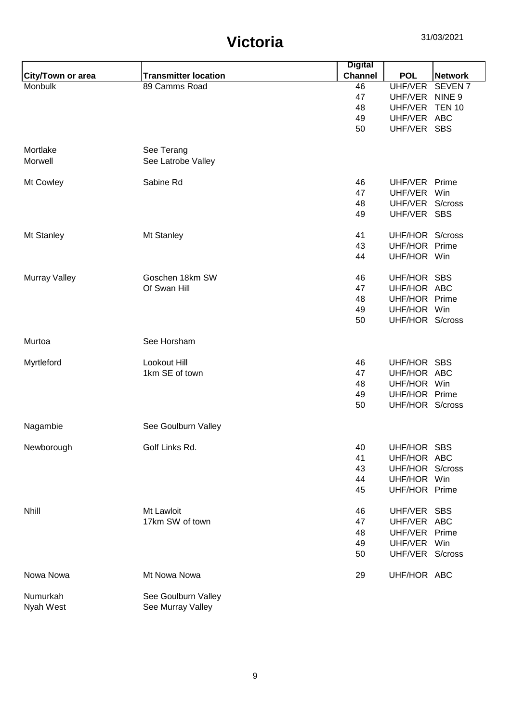|                      |                             | <b>Digital</b> |                              |                    |
|----------------------|-----------------------------|----------------|------------------------------|--------------------|
| City/Town or area    | <b>Transmitter location</b> | <b>Channel</b> | <b>POL</b>                   | <b>Network</b>     |
| Monbulk              | 89 Camms Road               | 46             | UHF/VER                      | SEVEN <sub>7</sub> |
|                      |                             | 47             | UHF/VER                      | NINE <sub>9</sub>  |
|                      |                             | 48             | UHF/VER                      | <b>TEN 10</b>      |
|                      |                             | 49             | UHF/VER ABC                  |                    |
|                      |                             | 50             | UHF/VER SBS                  |                    |
|                      |                             |                |                              |                    |
| Mortlake             | See Terang                  |                |                              |                    |
| Morwell              | See Latrobe Valley          |                |                              |                    |
|                      |                             |                |                              |                    |
| Mt Cowley            | Sabine Rd                   | 46             | UHF/VER Prime                |                    |
|                      |                             | 47             | UHF/VER Win                  |                    |
|                      |                             | 48             | UHF/VER S/cross              |                    |
|                      |                             | 49             | UHF/VER SBS                  |                    |
|                      |                             |                |                              |                    |
| Mt Stanley           | Mt Stanley                  | 41             | UHF/HOR S/cross              |                    |
|                      |                             | 43             | UHF/HOR Prime                |                    |
|                      |                             | 44             | UHF/HOR Win                  |                    |
|                      |                             |                |                              |                    |
| <b>Murray Valley</b> | Goschen 18km SW             | 46             | UHF/HOR SBS                  |                    |
|                      | Of Swan Hill                | 47             | UHF/HOR ABC                  |                    |
|                      |                             | 48             | UHF/HOR Prime                |                    |
|                      |                             | 49             | UHF/HOR Win                  |                    |
|                      |                             | 50             | UHF/HOR S/cross              |                    |
| Murtoa               | See Horsham                 |                |                              |                    |
|                      |                             |                |                              |                    |
| Myrtleford           | Lookout Hill                | 46             | UHF/HOR SBS                  |                    |
|                      | 1km SE of town              | 47             | UHF/HOR ABC                  |                    |
|                      |                             | 48             | UHF/HOR Win                  |                    |
|                      |                             | 49             | UHF/HOR Prime                |                    |
|                      |                             | 50             | UHF/HOR S/cross              |                    |
| Nagambie             | See Goulburn Valley         |                |                              |                    |
|                      |                             |                |                              |                    |
| Newborough           | Golf Links Rd.              | 40             | UHF/HOR SBS<br>UHF/HOR ABC   |                    |
|                      |                             | 41             |                              |                    |
|                      |                             | 43             | UHF/HOR S/cross              |                    |
|                      |                             | 44             | UHF/HOR Win                  |                    |
|                      |                             | 45             | UHF/HOR Prime                |                    |
| <b>Nhill</b>         | Mt Lawloit                  | 46             | UHF/VER SBS                  |                    |
|                      | 17km SW of town             | 47             | UHF/VER ABC                  |                    |
|                      |                             |                |                              |                    |
|                      |                             | 48             | UHF/VER Prime<br>UHF/VER Win |                    |
|                      |                             | 49             |                              |                    |
|                      |                             | 50             | UHF/VER S/cross              |                    |
| Nowa Nowa            | Mt Nowa Nowa                | 29             | UHF/HOR ABC                  |                    |
| Numurkah             | See Goulburn Valley         |                |                              |                    |
| Nyah West            | See Murray Valley           |                |                              |                    |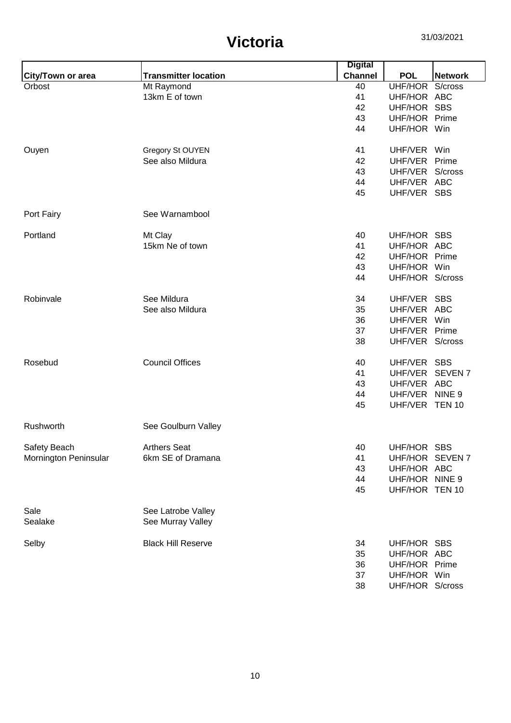|                       |                             | <b>Digital</b> |                 |                |
|-----------------------|-----------------------------|----------------|-----------------|----------------|
| City/Town or area     | <b>Transmitter location</b> | <b>Channel</b> | <b>POL</b>      | <b>Network</b> |
| Orbost                | Mt Raymond                  | 40             | UHF/HOR S/cross |                |
|                       | 13km E of town              | 41             | UHF/HOR ABC     |                |
|                       |                             | 42             | UHF/HOR SBS     |                |
|                       |                             | 43             | UHF/HOR Prime   |                |
|                       |                             | 44             | UHF/HOR Win     |                |
|                       |                             |                |                 |                |
| Ouyen                 | Gregory St OUYEN            | 41             | UHF/VER Win     |                |
|                       | See also Mildura            | 42             | UHF/VER Prime   |                |
|                       |                             | 43             | UHF/VER S/cross |                |
|                       |                             | 44             | UHF/VER ABC     |                |
|                       |                             | 45             | UHF/VER SBS     |                |
| Port Fairy            | See Warnambool              |                |                 |                |
|                       |                             |                |                 |                |
| Portland              | Mt Clay                     | 40             | UHF/HOR SBS     |                |
|                       | 15km Ne of town             | 41             | UHF/HOR ABC     |                |
|                       |                             | 42             | UHF/HOR Prime   |                |
|                       |                             | 43             | UHF/HOR Win     |                |
|                       |                             | 44             | UHF/HOR S/cross |                |
| Robinvale             | See Mildura                 | 34             | UHF/VER SBS     |                |
|                       | See also Mildura            | 35             | UHF/VER         | ABC            |
|                       |                             | 36             | UHF/VER Win     |                |
|                       |                             | 37             | UHF/VER Prime   |                |
|                       |                             | 38             | UHF/VER S/cross |                |
|                       |                             |                |                 |                |
| Rosebud               | <b>Council Offices</b>      | 40             | UHF/VER SBS     |                |
|                       |                             | 41             | UHF/VER SEVEN 7 |                |
|                       |                             | 43             | UHF/VER ABC     |                |
|                       |                             | 44             | UHF/VER NINE 9  |                |
|                       |                             | 45             | UHF/VER TEN 10  |                |
| Rushworth             | See Goulburn Valley         |                |                 |                |
|                       |                             |                |                 |                |
| Safety Beach          | <b>Arthers Seat</b>         | 40             | UHF/HOR SBS     |                |
| Mornington Peninsular | 6km SE of Dramana           | 41             | UHF/HOR SEVEN 7 |                |
|                       |                             | 43             | UHF/HOR ABC     |                |
|                       |                             | 44             | UHF/HOR NINE 9  |                |
|                       |                             | 45             | UHF/HOR TEN 10  |                |
| Sale                  | See Latrobe Valley          |                |                 |                |
| Sealake               | See Murray Valley           |                |                 |                |
|                       |                             |                |                 |                |
| Selby                 | <b>Black Hill Reserve</b>   | 34             | UHF/HOR SBS     |                |
|                       |                             | 35             | UHF/HOR ABC     |                |
|                       |                             | 36             | UHF/HOR Prime   |                |
|                       |                             | 37             | UHF/HOR Win     |                |
|                       |                             | 38             | UHF/HOR S/cross |                |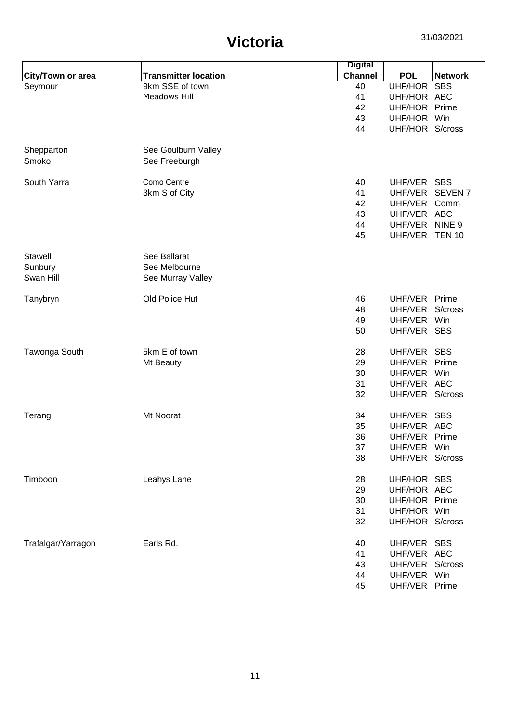|                    |                             | <b>Digital</b> |                 |                |
|--------------------|-----------------------------|----------------|-----------------|----------------|
| City/Town or area  | <b>Transmitter location</b> | <b>Channel</b> | <b>POL</b>      | <b>Network</b> |
| Seymour            | 9km SSE of town             | 40             | UHF/HOR         | <b>SBS</b>     |
|                    | <b>Meadows Hill</b>         | 41             | UHF/HOR ABC     |                |
|                    |                             | 42             | UHF/HOR Prime   |                |
|                    |                             | 43             | UHF/HOR Win     |                |
|                    |                             | 44             | UHF/HOR S/cross |                |
|                    |                             |                |                 |                |
| Shepparton         | See Goulburn Valley         |                |                 |                |
| Smoko              | See Freeburgh               |                |                 |                |
| South Yarra        | Como Centre                 | 40             | UHF/VER SBS     |                |
|                    | 3km S of City               | 41             | UHF/VER SEVEN 7 |                |
|                    |                             | 42             | UHF/VER Comm    |                |
|                    |                             | 43             | UHF/VER ABC     |                |
|                    |                             | 44             | UHF/VER NINE 9  |                |
|                    |                             | 45             | UHF/VER TEN 10  |                |
|                    |                             |                |                 |                |
| Stawell            | See Ballarat                |                |                 |                |
| Sunbury            | See Melbourne               |                |                 |                |
| Swan Hill          | See Murray Valley           |                |                 |                |
|                    | Old Police Hut              |                |                 |                |
| Tanybryn           |                             | 46             | UHF/VER         | Prime          |
|                    |                             | 48             | UHF/VER         | S/cross        |
|                    |                             | 49             | UHF/VER         | Win            |
|                    |                             | 50             | UHF/VER SBS     |                |
| Tawonga South      | 5km E of town               | 28             | UHF/VER         | <b>SBS</b>     |
|                    | Mt Beauty                   | 29             | UHF/VER Prime   |                |
|                    |                             | 30             | UHF/VER         | Win            |
|                    |                             | 31             | UHF/VER ABC     |                |
|                    |                             | 32             | UHF/VER S/cross |                |
| Terang             | Mt Noorat                   | 34             | UHF/VER SBS     |                |
|                    |                             | 35             | UHF/VER ABC     |                |
|                    |                             | 36             | UHF/VER Prime   |                |
|                    |                             | 37             | UHF/VER Win     |                |
|                    |                             | 38             | UHF/VER S/cross |                |
|                    |                             |                |                 |                |
| Timboon            | Leahys Lane                 | 28             | UHF/HOR SBS     |                |
|                    |                             | 29             | UHF/HOR ABC     |                |
|                    |                             | 30             | UHF/HOR Prime   |                |
|                    |                             | 31             | UHF/HOR Win     |                |
|                    |                             | 32             | UHF/HOR S/cross |                |
|                    |                             |                |                 |                |
| Trafalgar/Yarragon | Earls Rd.                   | 40             | UHF/VER SBS     |                |
|                    |                             | 41             | UHF/VER ABC     |                |
|                    |                             | 43             | UHF/VER S/cross |                |
|                    |                             | 44             | UHF/VER Win     |                |
|                    |                             | 45             | UHF/VER Prime   |                |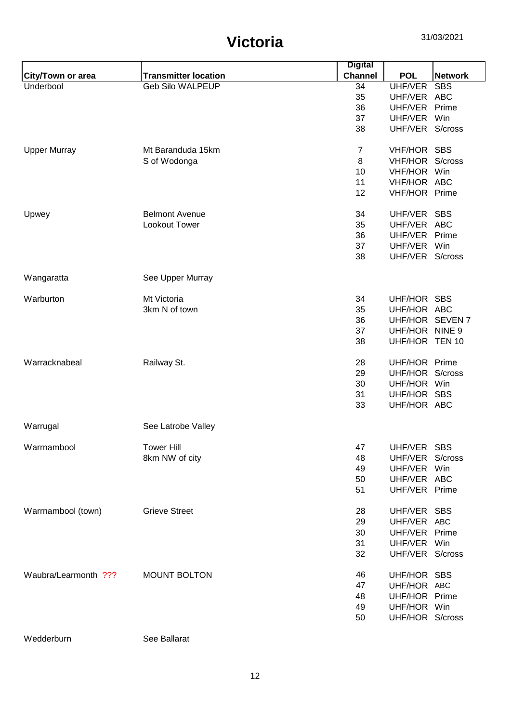|                      |                             | <b>Digital</b> |                 |                |
|----------------------|-----------------------------|----------------|-----------------|----------------|
| City/Town or area    | <b>Transmitter location</b> | <b>Channel</b> | <b>POL</b>      | <b>Network</b> |
| Underbool            | <b>Geb Silo WALPEUP</b>     | 34             | UHF/VER         | <b>SBS</b>     |
|                      |                             | 35             | UHF/VER ABC     |                |
|                      |                             | 36             | UHF/VER         | Prime          |
|                      |                             | 37             | UHF/VER         | Win            |
|                      |                             | 38             | UHF/VER S/cross |                |
| <b>Upper Murray</b>  | Mt Baranduda 15km           | $\overline{7}$ | VHF/HOR SBS     |                |
|                      | S of Wodonga                | 8              | VHF/HOR S/cross |                |
|                      |                             | 10             | VHF/HOR Win     |                |
|                      |                             | 11             | VHF/HOR ABC     |                |
|                      |                             | 12             | VHF/HOR Prime   |                |
| Upwey                | <b>Belmont Avenue</b>       | 34             | UHF/VER SBS     |                |
|                      | Lookout Tower               | 35             | UHF/VER ABC     |                |
|                      |                             |                | UHF/VER         | Prime          |
|                      |                             | 36             |                 |                |
|                      |                             | 37             | UHF/VER         | Win            |
|                      |                             | 38             | UHF/VER S/cross |                |
| Wangaratta           | See Upper Murray            |                |                 |                |
| Warburton            | Mt Victoria                 | 34             | UHF/HOR         | <b>SBS</b>     |
|                      | 3km N of town               | 35             | UHF/HOR ABC     |                |
|                      |                             |                | UHF/HOR SEVEN 7 |                |
|                      |                             | 36             | UHF/HOR NINE 9  |                |
|                      |                             | 37             |                 |                |
|                      |                             | 38             | UHF/HOR TEN 10  |                |
| Warracknabeal        | Railway St.                 | 28             | UHF/HOR Prime   |                |
|                      |                             | 29             | UHF/HOR S/cross |                |
|                      |                             | 30             | UHF/HOR Win     |                |
|                      |                             | 31             | UHF/HOR SBS     |                |
|                      |                             | 33             | UHF/HOR ABC     |                |
| Warrugal             | See Latrobe Valley          |                |                 |                |
| Warrnambool          | <b>Tower Hill</b>           | 47             | UHF/VER SBS     |                |
|                      | 8km NW of city              | 48             | UHF/VER S/cross |                |
|                      |                             | 49             | UHF/VER Win     |                |
|                      |                             |                | UHF/VER ABC     |                |
|                      |                             | 50             |                 |                |
|                      |                             | 51             | UHF/VER Prime   |                |
| Warrnambool (town)   | <b>Grieve Street</b>        | 28             | UHF/VER SBS     |                |
|                      |                             | 29             | UHF/VER ABC     |                |
|                      |                             | 30             | UHF/VER Prime   |                |
|                      |                             | 31             | UHF/VER Win     |                |
|                      |                             | 32             | UHF/VER S/cross |                |
| Waubra/Learmonth ??? | <b>MOUNT BOLTON</b>         | 46             | UHF/HOR SBS     |                |
|                      |                             | 47             | UHF/HOR ABC     |                |
|                      |                             | 48             | UHF/HOR Prime   |                |
|                      |                             | 49             | UHF/HOR Win     |                |
|                      |                             | 50             | UHF/HOR S/cross |                |
|                      |                             |                |                 |                |

Wedderburn See Ballarat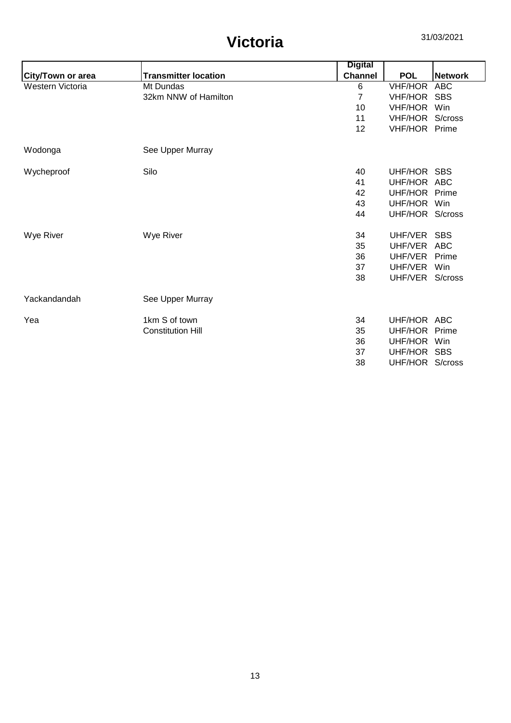|                          |                             | <b>Digital</b> |                 |                |
|--------------------------|-----------------------------|----------------|-----------------|----------------|
| <b>City/Town or area</b> | <b>Transmitter location</b> | <b>Channel</b> | <b>POL</b>      | <b>Network</b> |
| Western Victoria         | Mt Dundas                   | 6              | <b>VHF/HOR</b>  | <b>ABC</b>     |
|                          | 32km NNW of Hamilton        | $\overline{7}$ | VHF/HOR         | <b>SBS</b>     |
|                          |                             | 10             | <b>VHF/HOR</b>  | Win            |
|                          |                             | 11             | <b>VHF/HOR</b>  | S/cross        |
|                          |                             | 12             | VHF/HOR Prime   |                |
| Wodonga                  | See Upper Murray            |                |                 |                |
| Wycheproof               | Silo                        | 40             | UHF/HOR SBS     |                |
|                          |                             | 41             | UHF/HOR ABC     |                |
|                          |                             | 42             | UHF/HOR Prime   |                |
|                          |                             | 43             | UHF/HOR         | Win            |
|                          |                             | 44             | UHF/HOR S/cross |                |
| Wye River                | Wye River                   | 34             | UHF/VER         | <b>SBS</b>     |
|                          |                             | 35             | UHF/VER         | <b>ABC</b>     |
|                          |                             | 36             | UHF/VER         | Prime          |
|                          |                             | 37             | UHF/VER         | Win            |
|                          |                             | 38             | UHF/VER         | S/cross        |
| Yackandandah             | See Upper Murray            |                |                 |                |
| Yea                      | 1km S of town               | 34             | UHF/HOR ABC     |                |
|                          | <b>Constitution Hill</b>    | 35             | UHF/HOR         | Prime          |
|                          |                             | 36             | UHF/HOR         | Win            |
|                          |                             | 37             | UHF/HOR         | <b>SBS</b>     |
|                          |                             | 38             | UHF/HOR         | S/cross        |